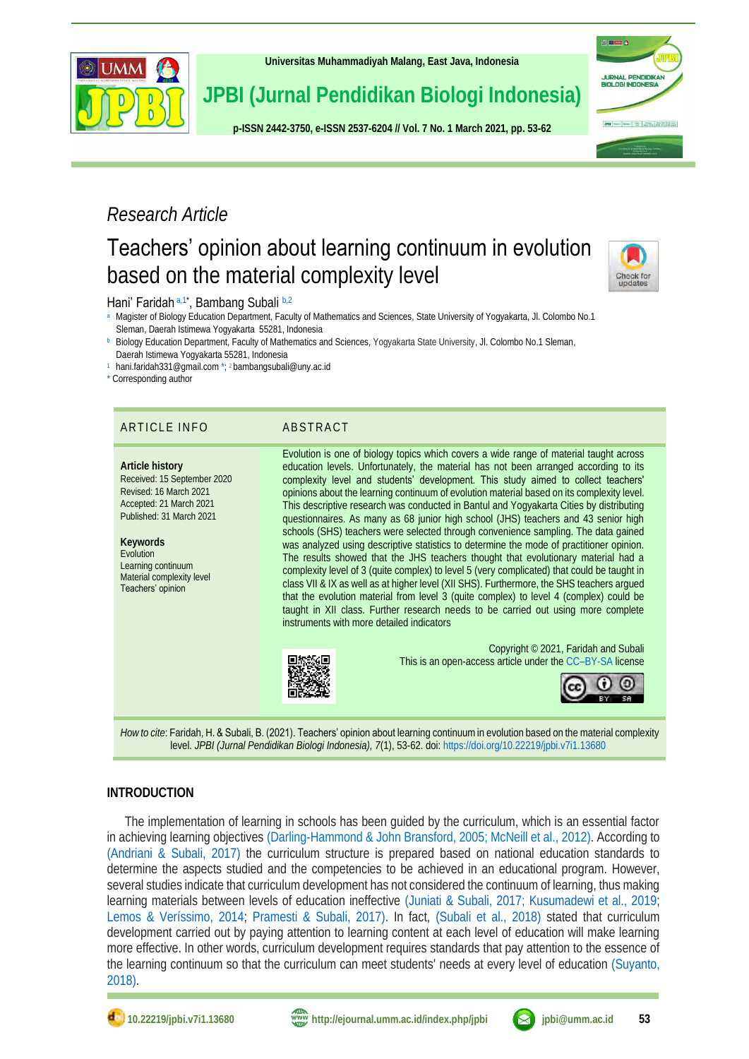

**[Universitas Muhammadiyah Malang,](http://ejournal.umm.ac.id/) East Java, Indonesia**

# **JPBI (Jurnal Pendidikan Biologi Indonesia)**

**p-ISS[N 2442-3750,](http://u.lipi.go.id/1422867894) e-ISSN [2537-6204](http://u.lipi.go.id/1460300524) // Vol. 7 No. 1 March 2021, pp. 53-62** 



# *Research Article*

# Teachers' opinion about learning continuum in evolution based on the material complexity level



# <span id="page-0-5"></span><span id="page-0-4"></span><span id="page-0-3"></span>Hani' Faridah [a,](#page-0-0)[1\\*](#page-0-1), Bambang Subali [b,](#page-0-2)[2](#page-0-3)

- <span id="page-0-0"></span>[a](#page-0-4) Magister of Biology Education Department, Faculty of Mathematics and Sciences, State University of Yogyakarta, Jl. Colombo No.1 Sleman, Daerah Istimewa Yogyakarta 55281, Indonesia
- <span id="page-0-2"></span>[b](#page-0-5) Biology Education Department, Faculty of Mathematics and Sciences, Yogyakarta State University, Jl. Colombo No.1 Sleman,
- Daerah Istimewa Yogyakarta 55281, Indonesia
- <span id="page-0-6"></span><span id="page-0-1"></span>[1](#page-0-6) [hani.faridah331@gmail.com](mailto:hani.faridah331@gmail.com%20*) \*; 2 [bambangsubali@uny.ac.id](#page-0-5)

\* Corresponding author

| Evolution is one of biology topics which covers a wide range of material taught across<br>education levels. Unfortunately, the material has not been arranged according to its<br>Article history<br>Received: 15 September 2020<br>complexity level and students' development. This study aimed to collect teachers'<br>Revised: 16 March 2021<br>opinions about the learning continuum of evolution material based on its complexity level.<br>Accepted: 21 March 2021<br>This descriptive research was conducted in Bantul and Yogyakarta Cities by distributing<br>Published: 31 March 2021<br>questionnaires. As many as 68 junior high school (JHS) teachers and 43 senior high<br>schools (SHS) teachers were selected through convenience sampling. The data gained<br>Keywords<br>was analyzed using descriptive statistics to determine the mode of practitioner opinion.<br><b>Fvolution</b><br>The results showed that the JHS teachers thought that evolutionary material had a<br>Learning continuum<br>complexity level of 3 (quite complex) to level 5 (very complicated) that could be taught in<br>Material complexity level<br>class VII & IX as well as at higher level (XII SHS). Furthermore, the SHS teachers argued<br>Teachers' opinion<br>that the evolution material from level 3 (quite complex) to level 4 (complex) could be<br>taught in XII class. Further research needs to be carried out using more complete<br>instruments with more detailed indicators | ARTICLE INFO | ABSTRACT                             |
|----------------------------------------------------------------------------------------------------------------------------------------------------------------------------------------------------------------------------------------------------------------------------------------------------------------------------------------------------------------------------------------------------------------------------------------------------------------------------------------------------------------------------------------------------------------------------------------------------------------------------------------------------------------------------------------------------------------------------------------------------------------------------------------------------------------------------------------------------------------------------------------------------------------------------------------------------------------------------------------------------------------------------------------------------------------------------------------------------------------------------------------------------------------------------------------------------------------------------------------------------------------------------------------------------------------------------------------------------------------------------------------------------------------------------------------------------------------------------------------------|--------------|--------------------------------------|
| This is an open-access article under the CC-BY-SA license                                                                                                                                                                                                                                                                                                                                                                                                                                                                                                                                                                                                                                                                                                                                                                                                                                                                                                                                                                                                                                                                                                                                                                                                                                                                                                                                                                                                                                    |              | Copyright © 2021, Faridah and Subali |

*How to cite*: Faridah, H. & Subali, B. (2021). Teachers' opinion about learning continuum in evolution based on the material complexity level. *JPBI (Jurnal Pendidikan Biologi Indonesia), 7*(1), 53-62. doi[: https://doi.org/10.22219/jpbi.v7i1.13680](https://doi.org/10.22219/jpbi.v7i1.13680)

# **INTRODUCTION**

<span id="page-0-7"></span>The implementation of learning in schools has been guided by the curriculum, which is an essential factor in achieving learning objectives [\(Darling-Hammond & John Bransford, 2005; McNeill et al., 2012\)](#page-8-0). According to [\(Andriani & Subali, 2017\)](#page-0-7) the curriculum structure is prepared based on national education standards to determine the aspects studied and the competencies to be achieved in an educational program. However, several studies indicate that curriculum development has not considered the continuum of learning, thus making learning materials between levels of education ineffective [\(Juniati & Subali, 2017;](#page-8-1) [Kusumadewi et al., 2019](#page-8-2)[;](#page-8-3) [Lemos & Veríssimo, 2014;](#page-8-3) [Pramesti & Subali, 2017\).](#page-9-0) In fact, [\(Subali et al., 2018\)](#page-9-1) stated that curriculum development carried out by paying attention to learning content at each level of education will make learning more effective. In other words, curriculum development requires standards that pay attention to the essence of the learning continuum so that the curriculum can meet students' needs at every level of education [\(Suyanto,](#page-9-2)  2018).

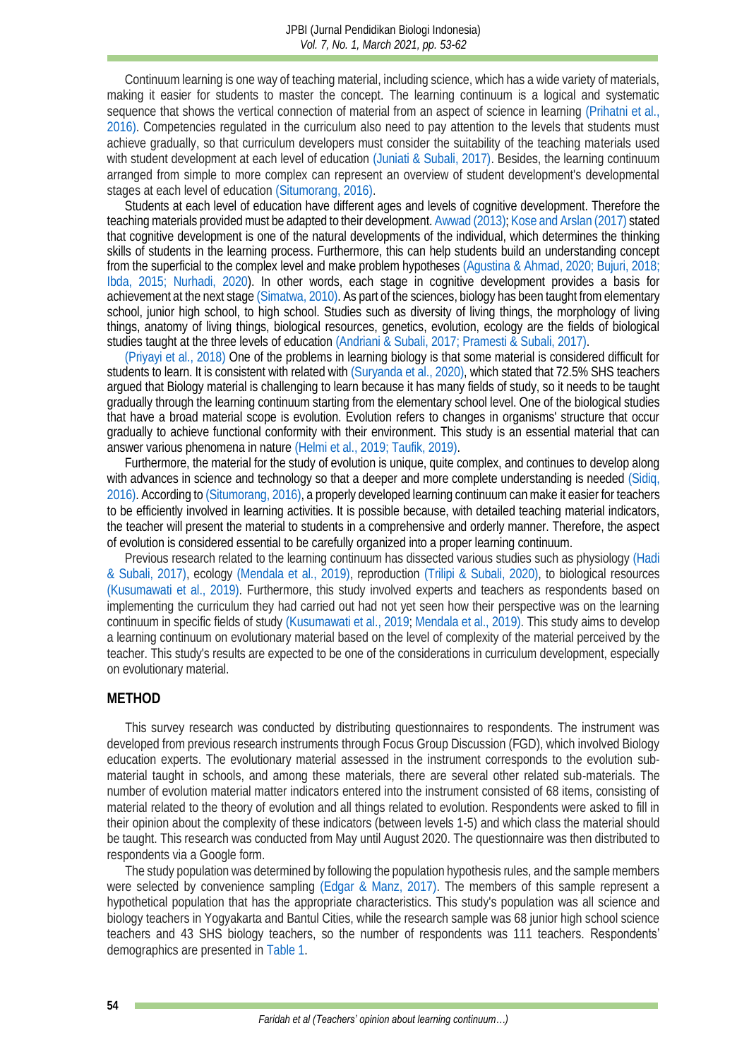Continuum learning is one way of teaching material, including science, which has a wide variety of materials, making it easier for students to master the concept. The learning continuum is a logical and systematic sequence that shows the vertical connection of material from an aspect of science in learning [\(Prihatni et al.,](#page-9-3)  2016). Competencies regulated in the curriculum also need to pay attention to the levels that students must achieve gradually, so that curriculum developers must consider the suitability of the teaching materials used with student development at each level of education [\(Juniati & Subali, 2017\).](#page-8-1) Besides, the learning continuum arranged from simple to more complex can represent an overview of student development's developmental stages at each level of education [\(Situmorang, 2016\).](#page-9-4)

Students at each level of education have different ages and levels of cognitive development. Therefore the teaching materials provided must be adapted to their development[. Awwad \(2013\);](#page-7-0) [Kose and Arslan \(2017\)](#page-8-4) stated that cognitive development is one of the natural developments of the individual, which determines the thinking skills of students in the learning process. Furthermore, this can help students build an understanding concept from the superficial to the complex level and make problem hypotheses [\(Agustina & Ahmad, 2020;](#page-7-1) [Bujuri, 2018;](#page-7-2) [Ibda, 2015;](#page-8-5) [Nurhadi, 2020\)](#page-8-6). In other words, each stage in cognitive development provides a basis for achievement at the next stag[e \(Simatwa, 2010\).](#page-9-5) As part of the sciences, biology has been taught from elementary school, junior high school, to high school. Studies such as diversity of living things, the morphology of living things, anatomy of living things, biological resources, genetics, evolution, ecology are the fields of biological studies taught at the three levels of educatio[n \(Andriani & Subali, 2017;](#page-0-7) [Pramesti & Subali, 2017\).](#page-9-0) 

[\(Priyayi et al., 2018\)](#page-9-6) One of the problems in learning biology is that some material is considered difficult for students to learn. It is consistent with related with [\(Suryanda et al., 2020\),](#page-9-7) which stated that 72.5% SHS teachers argued that Biology material is challenging to learn because it has many fields of study, so it needs to be taught gradually through the learning continuum starting from the elementary school level. One of the biological studies that have a broad material scope is evolution. Evolution refers to changes in organisms' structure that occur gradually to achieve functional conformity with their environment. This study is an essential material that can answer various phenomena in nature [\(Helmi et al., 2019;](#page-8-7) [Taufik, 2019\).](#page-9-8)

Furthermore, the material for the study of evolution is unique, quite complex, and continues to develop along with advances in science and technology so that a deeper and more complete understanding is needed [\(Sidiq,](#page-9-9)  2016). According to [\(Situmorang, 2016\),](#page-9-4) a properly developed learning continuum can make it easier for teachers to be efficiently involved in learning activities. It is possible because, with detailed teaching material indicators, the teacher will present the material to students in a comprehensive and orderly manner. Therefore, the aspect of evolution is considered essential to be carefully organized into a proper learning continuum.

Previous research related to the learning continuum has dissected various studies such as physiology [\(Hadi](#page-8-8)  & Subali, 2017), ecology [\(Mendala et al., 2019\),](#page-8-9) reproduction [\(Trilipi & Subali, 2020\),](#page-9-10) to biological resources [\(Kusumawati et al., 2019\).](#page-8-10) Furthermore, this study involved experts and teachers as respondents based on implementing the curriculum they had carried out had not yet seen how their perspective was on the learning continuum in specific fields of study [\(Kusumawati et al., 2019;](#page-8-10) [Mendala et al., 2019\).](#page-8-9) This study aims to develop a learning continuum on evolutionary material based on the level of complexity of the material perceived by the teacher. This study's results are expected to be one of the considerations in curriculum development, especially on evolutionary material.

#### **METHOD**

This survey research was conducted by distributing questionnaires to respondents. The instrument was developed from previous research instruments through Focus Group Discussion (FGD), which involved Biology education experts. The evolutionary material assessed in the instrument corresponds to the evolution submaterial taught in schools, and among these materials, there are several other related sub-materials. The number of evolution material matter indicators entered into the instrument consisted of 68 items, consisting of material related to the theory of evolution and all things related to evolution. Respondents were asked to fill in their opinion about the complexity of these indicators (between levels 1-5) and which class the material should be taught. This research was conducted from May until August 2020. The questionnaire was then distributed to respondents via a Google form.

The study population was determined by following the population hypothesis rules, and the sample members were selected by convenience sampling [\(Edgar & Manz, 2017\).](#page-8-11) The members of this sample represent a hypothetical population that has the appropriate characteristics. This study's population was all science and biology teachers in Yogyakarta and Bantul Cities, while the research sample was 68 junior high school science teachers and 43 SHS biology teachers, so the number of respondents was 111 teachers. Respondents' demographics are presented in [Table 1.](#page-2-0)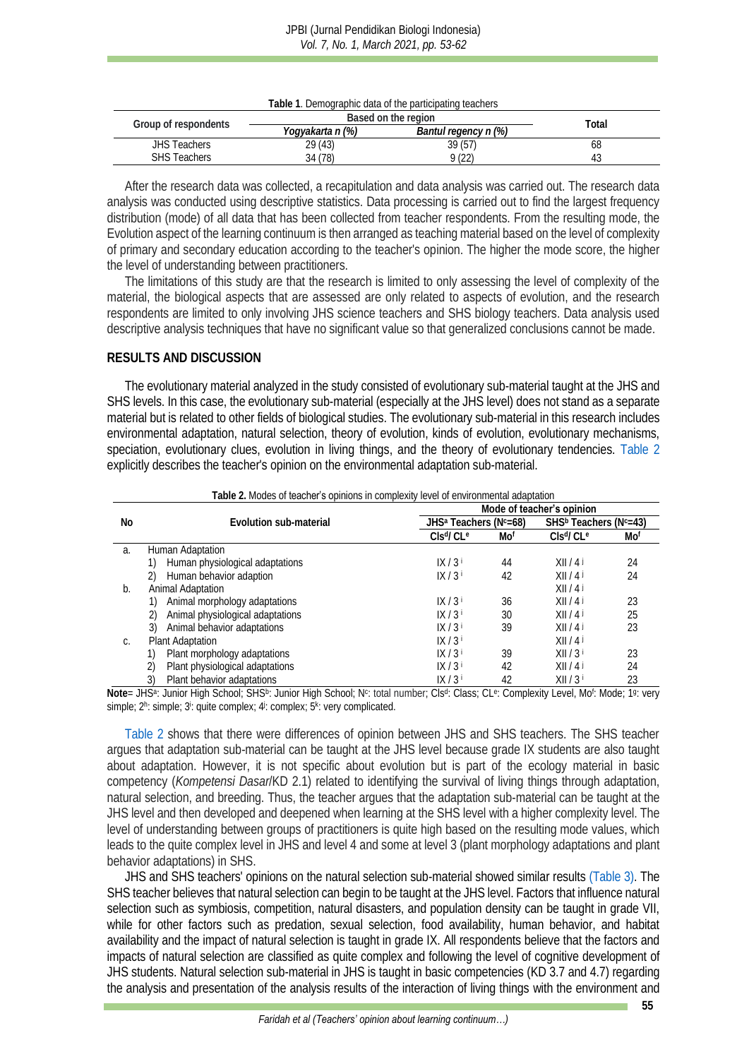<span id="page-2-0"></span>

|                      | l able 1. Demographic data of the participating teachers .      |         |    |
|----------------------|-----------------------------------------------------------------|---------|----|
|                      |                                                                 | Total   |    |
| Group of respondents | Based on the region<br>Bantul regency n (%)<br>Yogyakarta n (%) |         |    |
| <b>JHS Teachers</b>  | 29(43)                                                          | 39 (57) | 68 |
| <b>SHS Teachers</b>  | 34 (78)                                                         | 9(22)   |    |

**Table 1**. Demographic data of the participating teachers

After the research data was collected, a recapitulation and data analysis was carried out. The research data analysis was conducted using descriptive statistics. Data processing is carried out to find the largest frequency distribution (mode) of all data that has been collected from teacher respondents. From the resulting mode, the Evolution aspect of the learning continuum is then arranged as teaching material based on the level of complexity of primary and secondary education according to the teacher's opinion. The higher the mode score, the higher the level of understanding between practitioners.

The limitations of this study are that the research is limited to only assessing the level of complexity of the material, the biological aspects that are assessed are only related to aspects of evolution, and the research respondents are limited to only involving JHS science teachers and SHS biology teachers. Data analysis used descriptive analysis techniques that have no significant value so that generalized conclusions cannot be made.

### **RESULTS AND DISCUSSION**

The evolutionary material analyzed in the study consisted of evolutionary sub-material taught at the JHS and SHS levels. In this case, the evolutionary sub-material (especially at the JHS level) does not stand as a separate material but is related to other fields of biological studies. The evolutionary sub-material in this research includes environmental adaptation, natural selection, theory of evolution, kinds of evolution, evolutionary mechanisms, speciation, evolutionary clues, evolution in living things, and the theory of evolutionary tendencies. [Table 2](#page-2-1) explicitly describes the teacher's opinion on the environmental adaptation sub-material.

<span id="page-2-1"></span>

|    | <b>TODIO 2. MICROSOF MORTING COMPUTER INTERNATIONAL PROTECTION COMPUTER COOPING COMPUTER</b> |                                                |     |                                                |     |
|----|----------------------------------------------------------------------------------------------|------------------------------------------------|-----|------------------------------------------------|-----|
|    |                                                                                              |                                                |     | Mode of teacher's opinion                      |     |
| No | Evolution sub-material                                                                       | JHS <sup>a</sup> Teachers (N <sup>c</sup> =68) |     | SHS <sup>b</sup> Teachers (N <sup>c</sup> =43) |     |
|    |                                                                                              | $Cls$ <sup>d</sup> / $Ce$                      | Mof | $Cls$ <sup>d</sup> / $Cl$ <sup>e</sup>         | Mof |
| a. | Human Adaptation                                                                             |                                                |     |                                                |     |
|    | Human physiological adaptations                                                              | IX/3 <sup>i</sup>                              | 44  | X  /4                                          | 24  |
|    | Human behavior adaption                                                                      | IX/3 <sup>i</sup>                              | 42  | X  /4                                          | 24  |
| b. | Animal Adaptation                                                                            |                                                |     | X  /4                                          |     |
|    | Animal morphology adaptations                                                                | IX/3 <sup>i</sup>                              | 36  | XII/4J                                         | 23  |
|    | Animal physiological adaptations                                                             | IX/3 <sup>i</sup>                              | 30  | X  /4                                          | 25  |
|    | Animal behavior adaptations<br>3)                                                            | IX/3 <sup>i</sup>                              | 39  | X  /4                                          | 23  |
|    | Plant Adaptation                                                                             | IX/3 <sup>i</sup>                              |     | X  /4                                          |     |
|    | Plant morphology adaptations                                                                 | IX/3 <sup>i</sup>                              | 39  | $XII/3^{\dagger}$                              | 23  |
|    | Plant physiological adaptations                                                              | IX/3 <sup>i</sup>                              | 42  | XII/4I                                         | 24  |
|    | Plant behavior adaptations<br>3)                                                             | IX/3                                           | 42  | $XII/3$ <sup>i</sup>                           | 23  |

**Table 2.** Modes of teacher's opinions in complexity level of environmental adaptation

Note= JHS<sup>a</sup>: Junior High School; SHS<sup>b</sup>: Junior High School; N<sup>c</sup>: total number; Cls<sup>d</sup>: Class; CL<sup>e</sup>: Complexity Level, Mo<sup>f</sup>: Mode; 19: very simple; 2h: simple; 3<sup>i</sup>: quite complex; 4i: complex; 5<sup>k</sup>: very complicated.

[Table 2](#page-2-1) shows that there were differences of opinion between JHS and SHS teachers. The SHS teacher argues that adaptation sub-material can be taught at the JHS level because grade IX students are also taught about adaptation. However, it is not specific about evolution but is part of the ecology material in basic competency (*Kompetensi Dasar*/KD 2.1) related to identifying the survival of living things through adaptation, natural selection, and breeding. Thus, the teacher argues that the adaptation sub-material can be taught at the JHS level and then developed and deepened when learning at the SHS level with a higher complexity level. The level of understanding between groups of practitioners is quite high based on the resulting mode values, which leads to the quite complex level in JHS and level 4 and some at level 3 (plant morphology adaptations and plant behavior adaptations) in SHS.

JHS and SHS teachers' opinions on the natural selection sub-material showed similar results [\(Table 3\).](#page-3-0) The SHS teacher believes that natural selection can begin to be taught at the JHS level. Factors that influence natural selection such as symbiosis, competition, natural disasters, and population density can be taught in grade VII, while for other factors such as predation, sexual selection, food availability, human behavior, and habitat availability and the impact of natural selection is taught in grade IX. All respondents believe that the factors and impacts of natural selection are classified as quite complex and following the level of cognitive development of JHS students. Natural selection sub-material in JHS is taught in basic competencies (KD 3.7 and 4.7) regarding the analysis and presentation of the analysis results of the interaction of living things with the environment and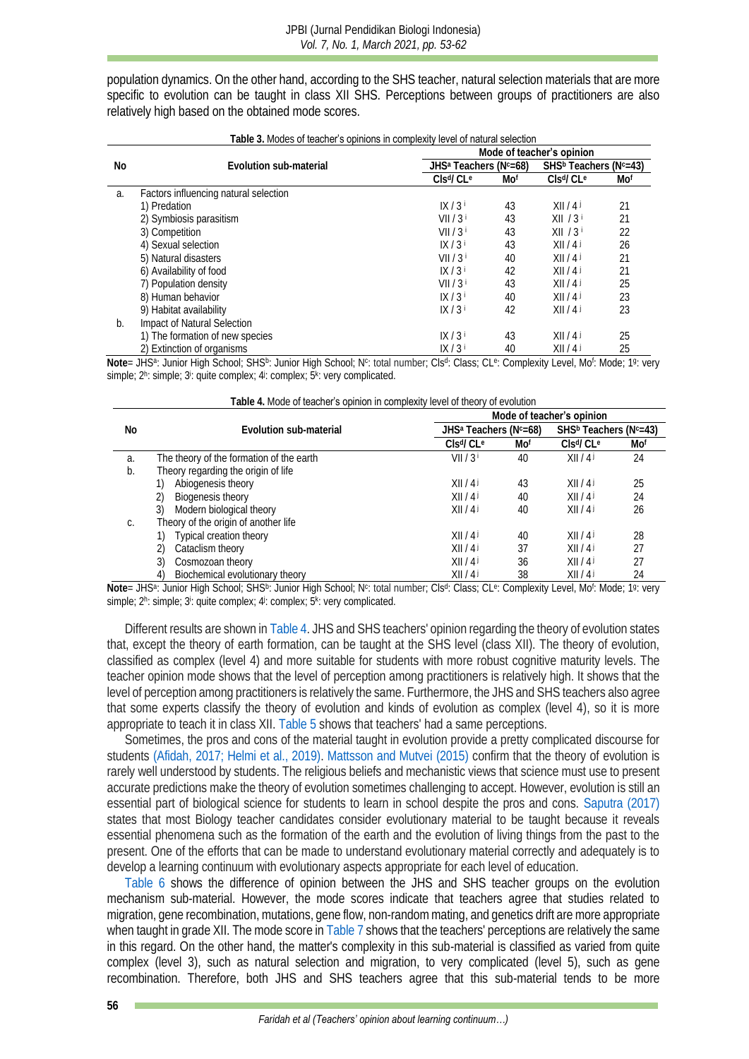population dynamics. On the other hand, according to the SHS teacher, natural selection materials that are more specific to evolution can be taught in class XII SHS. Perceptions between groups of practitioners are also relatively high based on the obtained mode scores.

**Table 3.** Modes of teacher's opinions in complexity level of natural selection

<span id="page-3-0"></span>

|    | Lable 3. Modes <b>of teacher's opinions in complexity level of natural selection</b> |                                                |     |                                                |     |  |  |
|----|--------------------------------------------------------------------------------------|------------------------------------------------|-----|------------------------------------------------|-----|--|--|
|    |                                                                                      | Mode of teacher's opinion                      |     |                                                |     |  |  |
| No | Evolution sub-material                                                               | JHS <sup>a</sup> Teachers (N <sup>c</sup> =68) |     | SHS <sup>b</sup> Teachers (N <sup>c</sup> =43) |     |  |  |
|    |                                                                                      | Clsd/CL <sup>e</sup>                           | Mof | Clsd/CL <sup>e</sup>                           | Mof |  |  |
| a. | Factors influencing natural selection                                                |                                                |     |                                                |     |  |  |
|    | 1) Predation                                                                         | IX/3                                           | 43  | X  /4                                          | 21  |  |  |
|    | 2) Symbiosis parasitism                                                              | $VII/3^{\dagger}$                              | 43  | XII/3 <sup>i</sup>                             | 21  |  |  |
|    | 3) Competition                                                                       | $VII/3^{\dagger}$                              | 43  | XII/3 <sup>1</sup>                             | 22  |  |  |
|    | 4) Sexual selection                                                                  | IX/3 <sup>i</sup>                              | 43  | X  /4                                          | 26  |  |  |
|    | 5) Natural disasters                                                                 | VII/3 <sup>†</sup>                             | 40  | X  /4                                          | 21  |  |  |
|    | 6) Availability of food                                                              | IX/3 <sup>i</sup>                              | 42  | X  /4                                          | 21  |  |  |
|    | 7) Population density                                                                | VII/3 <sup>†</sup>                             | 43  | X  /4                                          | 25  |  |  |
|    | 8) Human behavior                                                                    | IX/3 <sup>i</sup>                              | 40  | X  /4                                          | 23  |  |  |
|    | 9) Habitat availability                                                              | IX/3 <sup>i</sup>                              | 42  | X  /4                                          | 23  |  |  |
| b. | Impact of Natural Selection                                                          |                                                |     |                                                |     |  |  |
|    | 1) The formation of new species                                                      | IX/3 <sup>i</sup>                              | 43  | X  /4                                          | 25  |  |  |
|    | 2) Extinction of organisms                                                           | IX / 3 i                                       | 40  | X  /4                                          | 25  |  |  |

Note= JHSª: Junior High School; SHSʰ: Junior High School; Nº: total number; Clsª: Class; CLª: Complexity Level, Mo<sup>r</sup>: Mode; 1ª: very simple; 2h: simple; 3<sup>i</sup>: quite complex; 4<sup>j</sup>: complex; 5<sup>k</sup>: very complicated.

**Table 4.** Mode of teacher's opinion in complexity level of theory of evolution

<span id="page-3-1"></span>

|    |                                          | Mode of teacher's opinion         |     |                                                |     |  |  |
|----|------------------------------------------|-----------------------------------|-----|------------------------------------------------|-----|--|--|
| No | Evolution sub-material                   | JHS <sup>a</sup> Teachers (Nc=68) |     | SHS <sup>b</sup> Teachers (N <sup>c</sup> =43) |     |  |  |
|    |                                          | Clsd/Cl e                         | Mof | Clsd/Cl e                                      | Mof |  |  |
| a. | The theory of the formation of the earth | VII/3 <sup>†</sup>                | 40  | X  /4                                          | 24  |  |  |
| b. | Theory regarding the origin of life      |                                   |     |                                                |     |  |  |
|    | Abiogenesis theory                       | XII/4J                            | 43  | X  /4                                          | 25  |  |  |
|    | Biogenesis theory                        | X  /4                             | 40  | X  /4                                          | 24  |  |  |
|    | 3)<br>Modern biological theory           | X  /4                             | 40  | X  /4                                          | 26  |  |  |
| C. | Theory of the origin of another life     |                                   |     |                                                |     |  |  |
|    | Typical creation theory                  | XII/4J                            | 40  | X  /4                                          | 28  |  |  |
|    | 2)<br>Cataclism theory                   | X  /4                             | 37  | X  /4                                          | 27  |  |  |
|    | 3)<br>Cosmozoan theory                   | X  /4                             | 36  | X  /4                                          |     |  |  |
|    | Biochemical evolutionary theory<br>4)    | X  /4                             | 38  | X  /4                                          | 24  |  |  |

Note= JHS<sup>a</sup>: Junior High School; SHS<sup>b</sup>: Junior High School; N<sup>c</sup>: total number; Cls<sup>d</sup>: Class; CL<sup>e</sup>: Complexity Level, Mo<sup>f</sup>: Mode; 19: very simple; 2h: simple; 3<sup>i</sup>: quite complex; 4i: complex; 5<sup>k</sup>: very complicated.

Different results are shown i[n Table 4.](#page-3-1) JHS and SHS teachers' opinion regarding the theory of evolution states that, except the theory of earth formation, can be taught at the SHS level (class XII). The theory of evolution, classified as complex (level 4) and more suitable for students with more robust cognitive maturity levels. The teacher opinion mode shows that the level of perception among practitioners is relatively high. It shows that the level of perception among practitioners is relatively the same. Furthermore, the JHS and SHS teachers also agree that some experts classify the theory of evolution and kinds of evolution as complex (level 4), so it is more appropriate to teach it in class XII[. Table 5](#page-4-0) shows that teachers' had a same perceptions.

Sometimes, the pros and cons of the material taught in evolution provide a pretty complicated discourse for students [\(Afidah, 2017;](#page-7-3) [Helmi et al., 2019\).](#page-8-7) [Mattsson and Mutvei \(2015\)](#page-8-12) confirm that the theory of evolution is rarely well understood by students. The religious beliefs and mechanistic views that science must use to present accurate predictions make the theory of evolution sometimes challenging to accept. However, evolution is still an essential part of biological science for students to learn in school despite the pros and cons. [Saputra \(2017\)](#page-9-11) states that most Biology teacher candidates consider evolutionary material to be taught because it reveals essential phenomena such as the formation of the earth and the evolution of living things from the past to the present. One of the efforts that can be made to understand evolutionary material correctly and adequately is to develop a learning continuum with evolutionary aspects appropriate for each level of education.

[Table 6](#page-4-1) shows the difference of opinion between the JHS and SHS teacher groups on the evolution mechanism sub-material. However, the mode scores indicate that teachers agree that studies related to migration, gene recombination, mutations, gene flow, non-random mating, and genetics drift are more appropriate when taught in grade XII. The mode score i[n Table 7](#page-4-2) shows that the teachers' perceptions are relatively the same in this regard. On the other hand, the matter's complexity in this sub-material is classified as varied from quite complex (level 3), such as natural selection and migration, to very complicated (level 5), such as gene recombination. Therefore, both JHS and SHS teachers agree that this sub-material tends to be more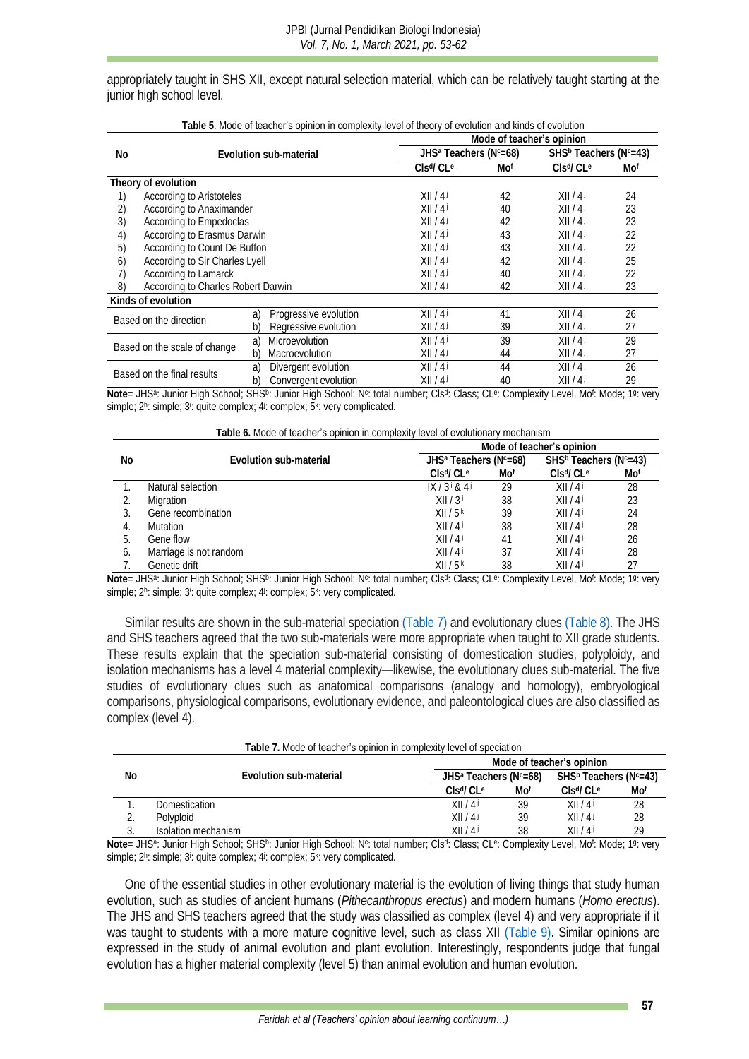appropriately taught in SHS XII, except natural selection material, which can be relatively taught starting at the junior high school level.

<span id="page-4-0"></span>

| i able 9. Mode of <b>leacher's opinion in complexity level of theory of evolution</b> and kinds of evolution<br>Mode of teacher's opinion |                                    |    |                        |                                                |     |                                                |     |  |  |
|-------------------------------------------------------------------------------------------------------------------------------------------|------------------------------------|----|------------------------|------------------------------------------------|-----|------------------------------------------------|-----|--|--|
|                                                                                                                                           |                                    |    |                        |                                                |     |                                                |     |  |  |
| No                                                                                                                                        |                                    |    | Evolution sub-material | JHS <sup>a</sup> Teachers (N <sup>c</sup> =68) |     | SHS <sup>b</sup> Teachers (N <sup>c</sup> =43) |     |  |  |
|                                                                                                                                           |                                    |    |                        | Cls <sup>d</sup> /C <sup>e</sup>               | Mof | Cls <sup>d</sup> /CL <sup>e</sup>              | Mof |  |  |
|                                                                                                                                           | Theory of evolution                |    |                        |                                                |     |                                                |     |  |  |
| 1)                                                                                                                                        | According to Aristoteles           |    |                        | X  /4                                          | 42  | XII/4J                                         | 24  |  |  |
| 2)                                                                                                                                        | According to Anaximander           |    |                        | X  /41                                         | 40  | X  /4                                          | 23  |  |  |
| 3)                                                                                                                                        | According to Empedoclas            |    |                        | X  /4                                          | 42  | X  /4                                          | 23  |  |  |
| 4)                                                                                                                                        | According to Erasmus Darwin        |    |                        | X  /4                                          | 43  | X  /4                                          | 22  |  |  |
| 5)                                                                                                                                        | According to Count De Buffon       |    |                        | X  /4                                          | 43  | X  /4                                          | 22  |  |  |
| 6)                                                                                                                                        | According to Sir Charles Lyell     |    |                        | X  /4                                          | 42  | X  /4                                          | 25  |  |  |
| 7)                                                                                                                                        | According to Lamarck               |    |                        | X  /4                                          | 40  | X  /4                                          | 22  |  |  |
| 8)                                                                                                                                        | According to Charles Robert Darwin |    |                        | X  /4                                          | 42  | X  /4                                          | 23  |  |  |
|                                                                                                                                           | Kinds of evolution                 |    |                        |                                                |     |                                                |     |  |  |
|                                                                                                                                           |                                    | a) | Progressive evolution  | X  /4                                          | 41  | X  /4                                          | 26  |  |  |
|                                                                                                                                           | Based on the direction             |    | Regressive evolution   | X  /4                                          | 39  | X  /4                                          | 27  |  |  |
|                                                                                                                                           | Based on the scale of change       |    | Microevolution         | X  /4                                          | 39  | X  /4                                          | 29  |  |  |
|                                                                                                                                           |                                    |    | Macroevolution         | X  /4                                          | 44  | X  /4                                          | 27  |  |  |
|                                                                                                                                           |                                    | a) | Divergent evolution    | X  /4                                          | 44  | XII/4J                                         | 26  |  |  |
|                                                                                                                                           | Based on the final results         | b) | Convergent evolution   | X  /4                                          | 40  | X  /4                                          | 29  |  |  |

|  |  |  |  | Table 5. Mode of teacher's opinion in complexity level of theory of evolution and kinds of evolution |  |
|--|--|--|--|------------------------------------------------------------------------------------------------------|--|
|  |  |  |  |                                                                                                      |  |

Note= JHS<sup>a</sup>: Junior High School; SHS<sup>b</sup>: Junior High School; N<sup>c</sup>: total number; Cls<sup>d</sup>: Class; CL<sup>e</sup>: Complexity Level, Mo<sup>f</sup>: Mode; 19: very simple; 2h: simple; 3<sup>i</sup>: quite complex; 4i: complex; 5k: very complicated.

<span id="page-4-1"></span>

|                | Table 6. Mode of teacher's opinion in complexity level of evolutionary mechanism |                                                |     |                                                |     |  |
|----------------|----------------------------------------------------------------------------------|------------------------------------------------|-----|------------------------------------------------|-----|--|
|                |                                                                                  |                                                |     | Mode of teacher's opinion                      |     |  |
| No.            | Evolution sub-material                                                           | JHS <sup>a</sup> Teachers (N <sup>c</sup> =68) |     | SHS <sup>b</sup> Teachers (N <sup>c</sup> =43) |     |  |
|                |                                                                                  | Clsd/Cl e                                      | Mof | Cls <sup>d</sup> /Cl <sup>e</sup>              | Mot |  |
|                | Natural selection                                                                | IX / 3' 84                                     | 29  | X  /4                                          | 28  |  |
|                | Migration                                                                        | XII/3 <sup>†</sup>                             | 38  | X  /4                                          | 23  |  |
|                | Gene recombination                                                               | XII/5 <sup>k</sup>                             | 39  | X  /4                                          | 24  |  |
|                | <b>Mutation</b>                                                                  | XII/4J                                         | 38  | X  /4                                          | 28  |  |
| $\mathfrak{h}$ | Gene flow                                                                        | X  /4                                          | 41  | X  /4                                          | 26  |  |
| O              | Marriage is not random                                                           | X  /4                                          | 37  | X  /4                                          | 28  |  |
|                | Genetic drift                                                                    | XII/5 <sup>k</sup>                             | 38  | X  /4                                          |     |  |

Note= JHS<sup>a</sup>: Junior High School; SHS<sup>b</sup>: Junior High School; N<sup>c</sup>: total number; Cls<sup>d</sup>: Class; CL<sup>e</sup>: Complexity Level, Mo<sup>f</sup>: Mode; 19: very simple; 2h: simple; 3<sup>i</sup>: quite complex; 4<sup>j</sup>: complex; 5<sup>k</sup>: very complicated.

Similar results are shown in the sub-material speciatio[n \(Table 7\)](#page-4-2) and evolutionary clues [\(Table 8\).](#page-5-0) The JHS and SHS teachers agreed that the two sub-materials were more appropriate when taught to XII grade students. These results explain that the speciation sub-material consisting of domestication studies, polyploidy, and isolation mechanisms has a level 4 material complexity—likewise, the evolutionary clues sub-material. The five studies of evolutionary clues such as anatomical comparisons (analogy and homology), embryological comparisons, physiological comparisons, evolutionary evidence, and paleontological clues are also classified as complex (level 4).

<span id="page-4-2"></span>

|    | Table 7. Mode of <b>teacher's opinion in</b> complexity level of speciation |                                                |                           |                                                |        |  |  |  |
|----|-----------------------------------------------------------------------------|------------------------------------------------|---------------------------|------------------------------------------------|--------|--|--|--|
|    |                                                                             |                                                | Mode of teacher's opinion |                                                |        |  |  |  |
| No | Evolution sub-material                                                      | JHS <sup>a</sup> Teachers (N <sup>c</sup> =68) |                           | SHS <sup>b</sup> Teachers (N <sup>c</sup> =43) |        |  |  |  |
|    |                                                                             | $ClcqlCle$                                     | Mot                       | $ClcqlClc$                                     | Mo†    |  |  |  |
|    | <b>Domestication</b>                                                        | XII/4I                                         | 39                        | XII/4I                                         | 28     |  |  |  |
|    | Polyploid                                                                   | XII/4J                                         | 39                        | X  /4                                          | 28     |  |  |  |
|    | Isolation mechanism                                                         | X  /4                                          | 38                        | X  /4                                          | 29     |  |  |  |
|    | $11100 + 11111001 + 21100110011$<br>$\cdots$ $\cdots$                       | $\bigcap_{i=1}^n A_i$                          |                           | .                                              | $\sim$ |  |  |  |

Note= JHS<sup>a</sup>: Junior High School; SHS<sup>b</sup>: Junior High School; N<sup>c</sup>: total number; Cls<sup>d</sup>: Class; CL<sup>e</sup>: Complexity Level, Mo<sup>f</sup>: Mode; 19: very simple; 2h: simple; 3<sup>i</sup>: quite complex; 4i: complex; 5<sup>k</sup>: very complicated.

One of the essential studies in other evolutionary material is the evolution of living things that study human evolution, such as studies of ancient humans (*Pithecanthropus erectus*) and modern humans (*Homo erectus*). The JHS and SHS teachers agreed that the study was classified as complex (level 4) and very appropriate if it was taught to students with a more mature cognitive level, such as class XII [\(Table 9\).](#page-5-1) Similar opinions are expressed in the study of animal evolution and plant evolution. Interestingly, respondents judge that fungal evolution has a higher material complexity (level 5) than animal evolution and human evolution.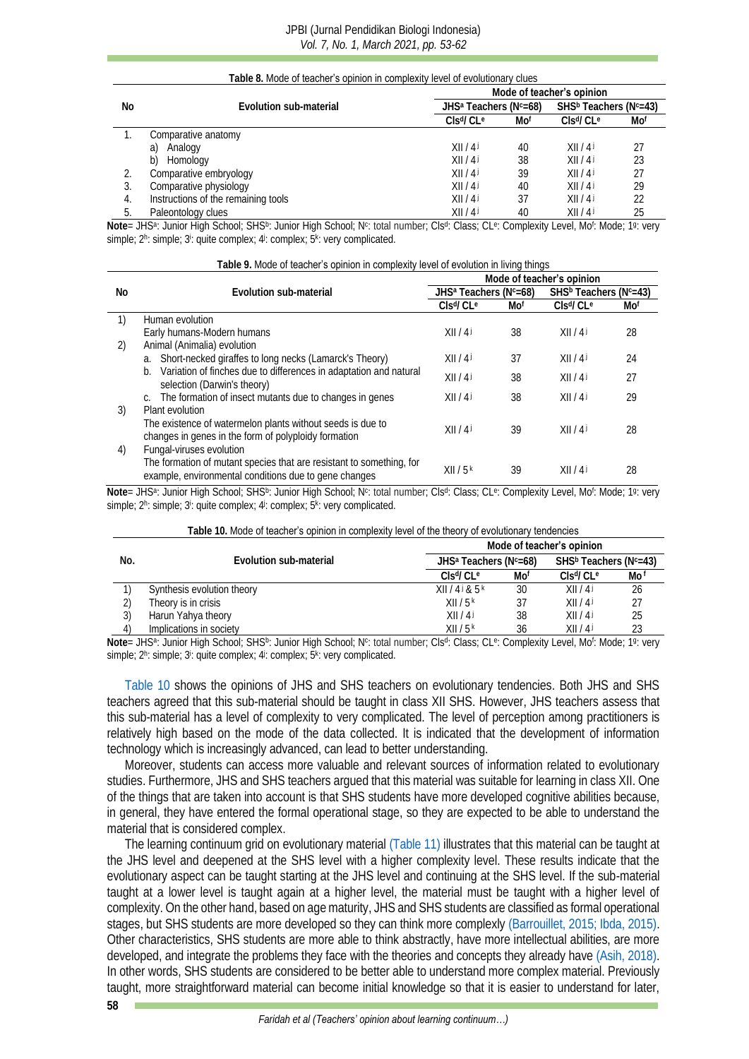#### JPBI (Jurnal Pendidikan Biologi Indonesia) *Vol. 7, No. 1, March 2021, pp. 53-62*

<span id="page-5-0"></span>

|     | Table 8. Mode of teacher's opinion in complexity level of evolutionary clues |                                                |                           |                                                |     |  |  |  |
|-----|------------------------------------------------------------------------------|------------------------------------------------|---------------------------|------------------------------------------------|-----|--|--|--|
|     |                                                                              |                                                | Mode of teacher's opinion |                                                |     |  |  |  |
| No  | Evolution sub-material                                                       | JHS <sup>a</sup> Teachers (N <sup>c</sup> =68) |                           | SHS <sup>b</sup> Teachers (N <sup>c</sup> =43) |     |  |  |  |
|     |                                                                              | Cls <sup>d</sup> /CL <sup>e</sup>              | Mof                       | Clsd/Cl e                                      | Mof |  |  |  |
|     | Comparative anatomy                                                          |                                                |                           |                                                |     |  |  |  |
|     | Analogy<br>a)                                                                | XII/4J                                         | 40                        | X  /4                                          |     |  |  |  |
|     | Homology<br>b)                                                               | XII/4J                                         | 38                        | X  /4                                          | 23  |  |  |  |
|     | Comparative embryology                                                       | XII/4J                                         | 39                        | X  /4                                          |     |  |  |  |
|     | Comparative physiology                                                       | X  /4                                          | 40                        | X  /4                                          | 29  |  |  |  |
| 4.  | Instructions of the remaining tools                                          | X  /4                                          | 37                        | X  /4                                          |     |  |  |  |
| .5. | Paleontology clues                                                           | X  /4                                          | 40                        | X  /4                                          | 25  |  |  |  |

Note= JHSª: Junior High School; SHS<sup>b</sup>: Junior High School; N<sup>c</sup>: total number; Clsª: Class; CLª: Complexity Level, Mo<sup>r</sup>: Mode; 1ª: very simple; 2h: simple; 3<sup>i</sup>: quite complex; 4i: complex; 5k: very complicated.

<span id="page-5-1"></span>

|    | Table 9. Mode of teacher's opinion in complexity level of evolution in living things                                                  |                                                |     |                                                |     |
|----|---------------------------------------------------------------------------------------------------------------------------------------|------------------------------------------------|-----|------------------------------------------------|-----|
|    |                                                                                                                                       |                                                |     | Mode of teacher's opinion                      |     |
| Nο | Evolution sub-material                                                                                                                | JHS <sup>a</sup> Teachers (N <sup>c</sup> =68) |     | SHS <sup>b</sup> Teachers (N <sup>c</sup> =43) |     |
|    |                                                                                                                                       | Cls <sup>d</sup> /CL <sup>e</sup>              | Mof | Cls <sup>d</sup> /CL <sup>e</sup>              | Mot |
|    | Human evolution                                                                                                                       |                                                |     |                                                |     |
|    | Early humans-Modern humans                                                                                                            | X  /4                                          | 38  | X  /4                                          | 28  |
| 2) | Animal (Animalia) evolution                                                                                                           |                                                |     |                                                |     |
|    | a. Short-necked giraffes to long necks (Lamarck's Theory)                                                                             | X  /4                                          | 37  | X  /4                                          | 24  |
|    | b. Variation of finches due to differences in adaptation and natural<br>selection (Darwin's theory)                                   | X  /4                                          | 38  | X  /4                                          | 27  |
|    | c. The formation of insect mutants due to changes in genes                                                                            | X  /4                                          | 38  | X  /4                                          | 29  |
| 3) | Plant evolution<br>The existence of watermelon plants without seeds is due to<br>changes in genes in the form of polyploidy formation | X  /4                                          | 39  | X  /4                                          | 28  |
| 4) | Fungal-viruses evolution                                                                                                              |                                                |     |                                                |     |
|    | The formation of mutant species that are resistant to something, for<br>example, environmental conditions due to gene changes         | XII/5k                                         | 39  | X  /4                                          | 28  |

Note= JHS<sup>a</sup>: Junior High School; SHS<sup>b</sup>: Junior High School; N<sup>c</sup>: total number; Cls<sup>d</sup>: Class; CL<sup>e</sup>: Complexity Level, Mo<sup>f</sup>: Mode; 19: very simple; 2h: simple; 3<sup>i</sup>: quite complex; 4<sup>j</sup>: complex; 5<sup>k</sup>: very complicated.

<span id="page-5-2"></span>

|                                                | Mode of teacher's opinion |                                                                                                                                                                  |
|------------------------------------------------|---------------------------|------------------------------------------------------------------------------------------------------------------------------------------------------------------|
|                                                |                           |                                                                                                                                                                  |
| JHS <sup>a</sup> Teachers (N <sup>c</sup> =68) |                           |                                                                                                                                                                  |
| Mot                                            | $C\leq d/C\leq e$         | Mo f                                                                                                                                                             |
| 30                                             | XII/4J                    | 26                                                                                                                                                               |
| 37                                             | XII/4J                    |                                                                                                                                                                  |
| 38                                             | XII/4J                    | 25                                                                                                                                                               |
| 36                                             | X  /4                     | 23                                                                                                                                                               |
|                                                |                           | SHS <sup>b</sup> Teachers (N <sup>c</sup> =43)<br>Mir 1110s I. F. LIP LO FOLDON LE FELLO LE LANS LE LA CITATA CHE LA CITATA CHE LA CITATA CHE LA CITATA CHE LA C |

Note= JHS<sup>a</sup>: Junior High School; SHS<sup>b</sup>: Junior High School; N<sup>c</sup>: total number; Cls<sup>d</sup>: Class; CL<sup>e</sup>: Complexity Level, Mo<sup>f</sup>: Mode; 19: very simple; 2h: simple; 3<sup>i</sup>: quite complex; 4<sup>j</sup>: complex; 5<sup>k</sup>: very complicated.

[Table 10](#page-5-2) shows the opinions of JHS and SHS teachers on evolutionary tendencies. Both JHS and SHS teachers agreed that this sub-material should be taught in class XII SHS. However, JHS teachers assess that this sub-material has a level of complexity to very complicated. The level of perception among practitioners is relatively high based on the mode of the data collected. It is indicated that the development of information technology which is increasingly advanced, can lead to better understanding.

Moreover, students can access more valuable and relevant sources of information related to evolutionary studies. Furthermore, JHS and SHS teachers argued that this material was suitable for learning in class XII. One of the things that are taken into account is that SHS students have more developed cognitive abilities because, in general, they have entered the formal operational stage, so they are expected to be able to understand the material that is considered complex.

The learning continuum grid on evolutionary materia[l \(Table 11\)](#page-6-0) illustrates that this material can be taught at the JHS level and deepened at the SHS level with a higher complexity level. These results indicate that the evolutionary aspect can be taught starting at the JHS level and continuing at the SHS level. If the sub-material taught at a lower level is taught again at a higher level, the material must be taught with a higher level of complexity. On the other hand, based on age maturity, JHS and SHS students are classified as formal operational stages, but SHS students are more developed so they can think more complexly [\(Barrouillet, 2015;](#page-7-4) [Ibda, 2015\).](#page-8-5) Other characteristics, SHS students are more able to think abstractly, have more intellectual abilities, are more developed, and integrate the problems they face with the theories and concepts they already have [\(Asih, 2018\).](#page-7-5) In other words, SHS students are considered to be better able to understand more complex material. Previously taught, more straightforward material can become initial knowledge so that it is easier to understand for later,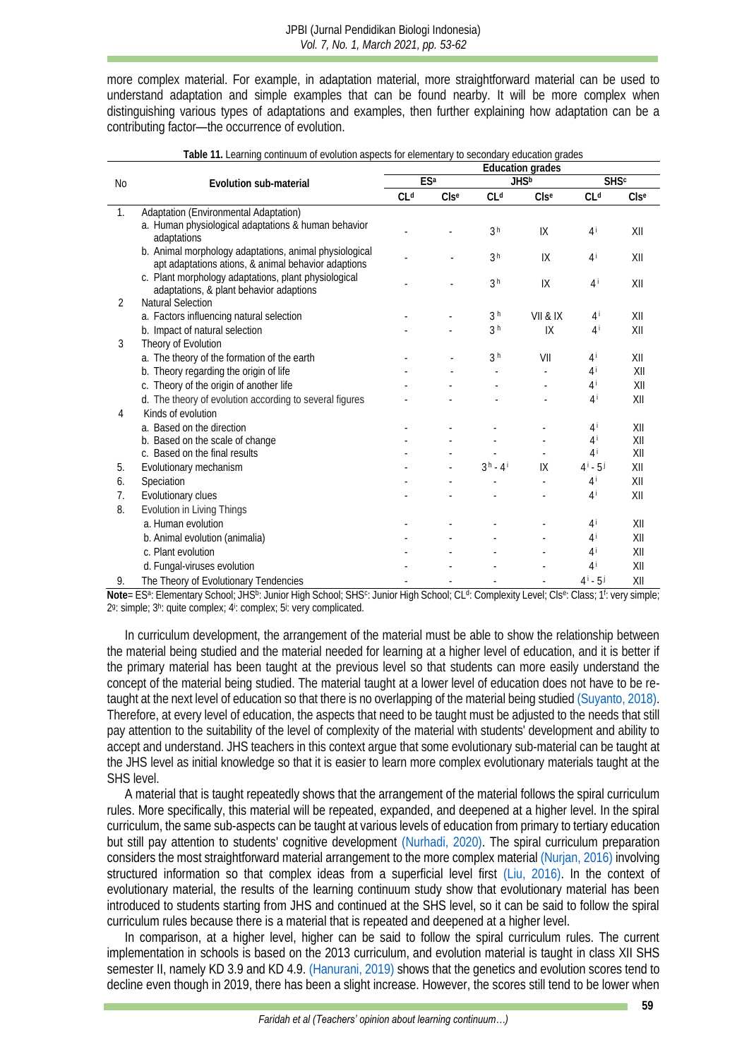more complex material. For example, in adaptation material, more straightforward material can be used to understand adaptation and simple examples that can be found nearby. It will be more complex when distinguishing various types of adaptations and examples, then further explaining how adaptation can be a contributing factor—the occurrence of evolution.

<span id="page-6-0"></span>

|                | Evolution sub-material                                                                                        | Education grades |         |                  |                         |                  |                  |
|----------------|---------------------------------------------------------------------------------------------------------------|------------------|---------|------------------|-------------------------|------------------|------------------|
| No.            |                                                                                                               | ESa              |         | JHS <sup>b</sup> |                         | <b>SHSc</b>      |                  |
|                |                                                                                                               | CL <sup>d</sup>  | $CIs^e$ | CL <sup>d</sup>  | CIs <sup>e</sup>        | Cl <sub>d</sub>  | CIs <sup>e</sup> |
| $\mathbb{1}$ . | Adaptation (Environmental Adaptation)                                                                         |                  |         |                  |                         |                  |                  |
|                | a. Human physiological adaptations & human behavior<br>adaptations                                            |                  |         | 3 <sup>h</sup>   | IX                      | $4^{\mathrm{i}}$ | X                |
|                | b. Animal morphology adaptations, animal physiological<br>apt adaptations ations, & animal behavior adaptions |                  |         | 3 <sup>h</sup>   | IX                      | $4^{\mathrm{i}}$ | XII              |
|                | c. Plant morphology adaptations, plant physiological<br>adaptations, & plant behavior adaptions               |                  |         | 3 <sup>h</sup>   | 1X                      | $4^{\mathrm{i}}$ | X                |
| 2              | Natural Selection                                                                                             |                  |         |                  |                         |                  |                  |
|                | a. Factors influencing natural selection                                                                      |                  |         | 3 <sup>h</sup>   | VII & IX                | $4^{\mathrm{i}}$ | XII              |
|                | b. Impact of natural selection                                                                                |                  |         | 3 <sup>h</sup>   | $\mathsf{IX}$           | 4 <sup>i</sup>   | XII              |
| 3              | Theory of Evolution                                                                                           |                  |         |                  |                         |                  |                  |
|                | a. The theory of the formation of the earth                                                                   |                  |         | 3 <sup>h</sup>   | VII                     | $4^{\mathrm{i}}$ | XII              |
|                | b. Theory regarding the origin of life                                                                        |                  |         |                  |                         | $4^{\mathrm{i}}$ | XII              |
|                | c. Theory of the origin of another life                                                                       |                  |         |                  |                         | $4^{\mathrm{i}}$ | XII              |
|                | d. The theory of evolution according to several figures                                                       |                  |         |                  |                         | $4^{\mathrm{i}}$ | X                |
| 4              | Kinds of evolution                                                                                            |                  |         |                  |                         |                  |                  |
|                | a. Based on the direction                                                                                     |                  |         |                  |                         | $4^{\mathrm{i}}$ | XII              |
|                | b. Based on the scale of change                                                                               |                  |         |                  |                         | 4 i              | X                |
|                | c. Based on the final results                                                                                 |                  |         |                  |                         | 4 i              | X                |
| 5.             | Evolutionary mechanism                                                                                        |                  |         | $3h - 4i$        | $\mathsf{I} \mathsf{X}$ | $4^{i} - 5^{j}$  | XII              |
| 6.             | Speciation                                                                                                    |                  |         |                  |                         | $4^{\mathrm{i}}$ | XII              |
| 7 <sub>1</sub> | Evolutionary clues                                                                                            |                  |         |                  |                         | $4^{\mathrm{i}}$ | XII              |
| 8.             | Evolution in Living Things                                                                                    |                  |         |                  |                         |                  |                  |
|                | a. Human evolution                                                                                            |                  |         |                  |                         | $4^{\mathrm{i}}$ | XII              |
|                | b. Animal evolution (animalia)                                                                                |                  |         |                  |                         | $4^{\mathrm{i}}$ | X                |
|                | c. Plant evolution                                                                                            |                  |         |                  |                         | $4^{\mathrm{i}}$ | XII              |
|                | d. Fungal-viruses evolution                                                                                   |                  |         |                  |                         | $4^{\mathrm{i}}$ | X                |
| 9.             | The Theory of Evolutionary Tendencies                                                                         |                  |         |                  |                         | $4^{i} - 5^{j}$  | X                |

**Table 11.** Learning continuum of evolution aspects for elementary to secondary education grades

Note= ES<sup>a</sup>: Elementary School; JHS<sup>b</sup>: Junior High School; SHS<sup>c</sup>: Junior High School; CL<sup>d</sup>: Complexity Level; Cls<sup>e</sup>: Class; 1<sup>f</sup>: very simple; 2<sup>g</sup>: simple; 3<sup>h</sup>: quite complex; 4<sup>i</sup>: complex; 5<sup>j</sup>: very complicated.

In curriculum development, the arrangement of the material must be able to show the relationship between the material being studied and the material needed for learning at a higher level of education, and it is better if the primary material has been taught at the previous level so that students can more easily understand the concept of the material being studied. The material taught at a lower level of education does not have to be retaught at the next level of education so that there is no overlapping of the material being studied [\(Suyanto, 2018\).](#page-9-2) Therefore, at every level of education, the aspects that need to be taught must be adjusted to the needs that still pay attention to the suitability of the level of complexity of the material with students' development and ability to accept and understand. JHS teachers in this context argue that some evolutionary sub-material can be taught at the JHS level as initial knowledge so that it is easier to learn more complex evolutionary materials taught at the SHS level.

A material that is taught repeatedly shows that the arrangement of the material follows the spiral curriculum rules. More specifically, this material will be repeated, expanded, and deepened at a higher level. In the spiral curriculum, the same sub-aspects can be taught at various levels of education from primary to tertiary education but still pay attention to students' cognitive development [\(Nurhadi, 2020\).](#page-8-6) The spiral curriculum preparation considers the most straightforward material arrangement to the more complex material [\(Nurjan, 2016\)](#page-9-12) involving structured information so that complex ideas from a superficial level first [\(Liu, 2016\).](#page-8-13) In the context of evolutionary material, the results of the learning continuum study show that evolutionary material has been introduced to students starting from JHS and continued at the SHS level, so it can be said to follow the spiral curriculum rules because there is a material that is repeated and deepened at a higher level.

In comparison, at a higher level, higher can be said to follow the spiral curriculum rules. The current implementation in schools is based on the 2013 curriculum, and evolution material is taught in class XII SHS semester II, namely KD 3.9 and KD 4.9[. \(Hanurani, 2019\)](#page-8-14) shows that the genetics and evolution scores tend to decline even though in 2019, there has been a slight increase. However, the scores still tend to be lower when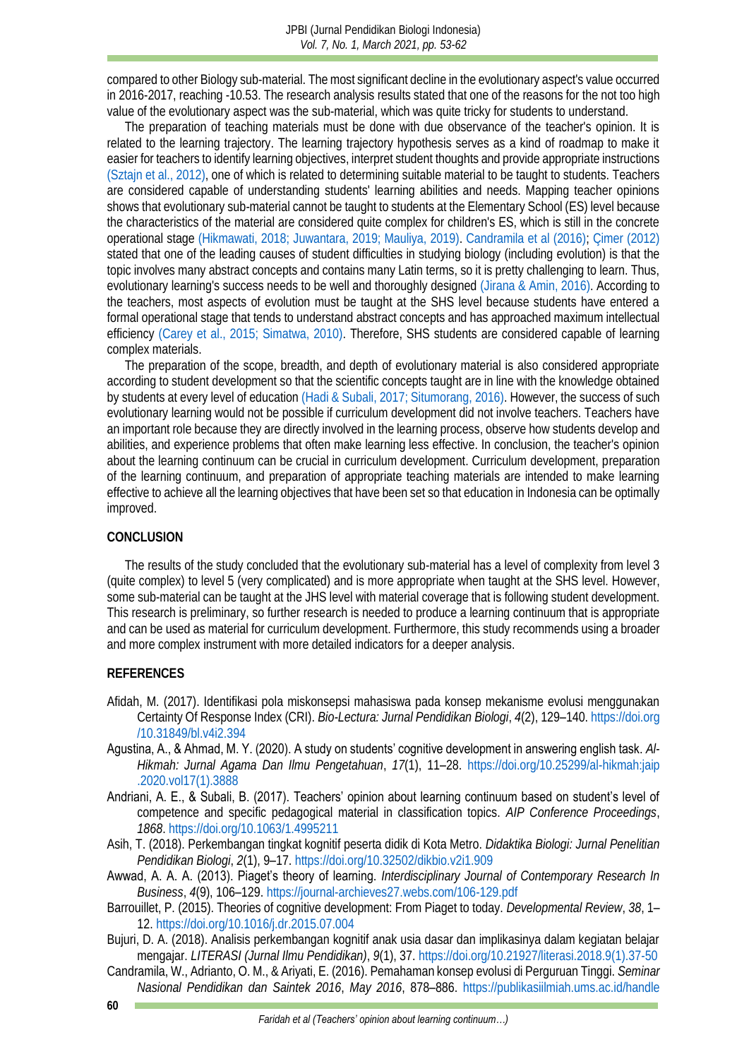compared to other Biology sub-material. The most significant decline in the evolutionary aspect's value occurred in 2016-2017, reaching -10.53. The research analysis results stated that one of the reasons for the not too high value of the evolutionary aspect was the sub-material, which was quite tricky for students to understand.

The preparation of teaching materials must be done with due observance of the teacher's opinion. It is related to the learning trajectory. The learning trajectory hypothesis serves as a kind of roadmap to make it easier for teachers to identify learning objectives, interpret student thoughts and provide appropriate instructions [\(Sztajn et al., 2012\),](#page-9-13) one of which is related to determining suitable material to be taught to students. Teachers are considered capable of understanding students' learning abilities and needs. Mapping teacher opinions shows that evolutionary sub-material cannot be taught to students at the Elementary School (ES) level because the characteristics of the material are considered quite complex for children's ES, which is still in the concrete operational stage [\(Hikmawati, 2018;](#page-8-15) [Juwantara, 2019;](#page-8-16) [Mauliya, 2019\).](#page-8-17) [Candramila et al \(2016\);](#page-7-6) [Çimer \(2012\)](#page-8-18) stated that one of the leading causes of student difficulties in studying biology (including evolution) is that the topic involves many abstract concepts and contains many Latin terms, so it is pretty challenging to learn. Thus, evolutionary learning's success needs to be well and thoroughly designed [\(Jirana & Amin, 2016\).](#page-8-19) According to the teachers, most aspects of evolution must be taught at the SHS level because students have entered a formal operational stage that tends to understand abstract concepts and has approached maximum intellectual efficiency [\(Carey et al., 2015;](#page-8-20) [Simatwa, 2010\).](#page-9-5) Therefore, SHS students are considered capable of learning complex materials.

The preparation of the scope, breadth, and depth of evolutionary material is also considered appropriate according to student development so that the scientific concepts taught are in line with the knowledge obtained by students at every level of education [\(Hadi & Subali, 2017;](#page-8-8) [Situmorang, 2016\).](#page-9-4) However, the success of such evolutionary learning would not be possible if curriculum development did not involve teachers. Teachers have an important role because they are directly involved in the learning process, observe how students develop and abilities, and experience problems that often make learning less effective. In conclusion, the teacher's opinion about the learning continuum can be crucial in curriculum development. Curriculum development, preparation of the learning continuum, and preparation of appropriate teaching materials are intended to make learning effective to achieve all the learning objectives that have been set so that education in Indonesia can be optimally improved.

#### **CONCLUSION**

The results of the study concluded that the evolutionary sub-material has a level of complexity from level 3 (quite complex) to level 5 (very complicated) and is more appropriate when taught at the SHS level. However, some sub-material can be taught at the JHS level with material coverage that is following student development. This research is preliminary, so further research is needed to produce a learning continuum that is appropriate and can be used as material for curriculum development. Furthermore, this study recommends using a broader and more complex instrument with more detailed indicators for a deeper analysis.

#### **REFERENCES**

- <span id="page-7-3"></span>Afidah, M. (2017). Identifikasi pola miskonsepsi mahasiswa pada konsep mekanisme evolusi menggunakan Certainty Of Response Index (CRI). *Bio-Lectura: Jurnal Pendidikan Biologi*, *4*(2), 129–140. [https://doi.org](https://doi.org/10.31849/bl.v4i2.394) [/10.31849/bl.v4i2.394](https://doi.org/10.31849/bl.v4i2.394)
- <span id="page-7-1"></span>Agustina, A., & Ahmad, M. Y. (2020). A study on students' cognitive development in answering english task. *Al-Hikmah: Jurnal Agama Dan Ilmu Pengetahuan*, *17*(1), 11–28. [https://doi.org/10.25299/al-hikmah:jaip](https://doi.org/10.25299/al-hikmah:jaip.2020.vol17(1).3888) [.2020.vol17\(1\).3888](https://doi.org/10.25299/al-hikmah:jaip.2020.vol17(1).3888)
- Andriani, A. E., & Subali, B. (2017). Teachers' opinion about learning continuum based on student's level of competence and specific pedagogical material in classification topics. *AIP Conference Proceedings*, *1868*.<https://doi.org/10.1063/1.4995211>
- <span id="page-7-5"></span>Asih, T. (2018). Perkembangan tingkat kognitif peserta didik di Kota Metro. *Didaktika Biologi: Jurnal Penelitian Pendidikan Biologi*, *2*(1), 9–17[. https://doi.org/10.32502/dikbio.v2i1.909](https://doi.org/10.32502/dikbio.v2i1.909)
- <span id="page-7-0"></span>Awwad, A. A. A. (2013). Piaget's theory of learning. *Interdisciplinary Journal of Contemporary Research In Business*, *4*(9), 106–129.<https://journal-archieves27.webs.com/106-129.pdf>
- <span id="page-7-4"></span>Barrouillet, P. (2015). Theories of cognitive development: From Piaget to today. *Developmental Review*, *38*, 1– 12.<https://doi.org/10.1016/j.dr.2015.07.004>
- <span id="page-7-2"></span>Bujuri, D. A. (2018). Analisis perkembangan kognitif anak usia dasar dan implikasinya dalam kegiatan belajar mengajar. *LITERASI (Jurnal Ilmu Pendidikan)*, *9*(1), 37[. https://doi.org/10.21927/literasi.2018.9\(1\).37-50](https://doi.org/10.21927/literasi.2018.9(1).37-50)
- <span id="page-7-6"></span>Candramila, W., Adrianto, O. M., & Ariyati, E. (2016). Pemahaman konsep evolusi di Perguruan Tinggi. *Seminar Nasional Pendidikan dan Saintek 2016*, *May 2016*, 878–886. [https://publikasiilmiah.ums.ac.id/handle](https://publikasiilmiah.ums.ac.id/handle/11617/8026)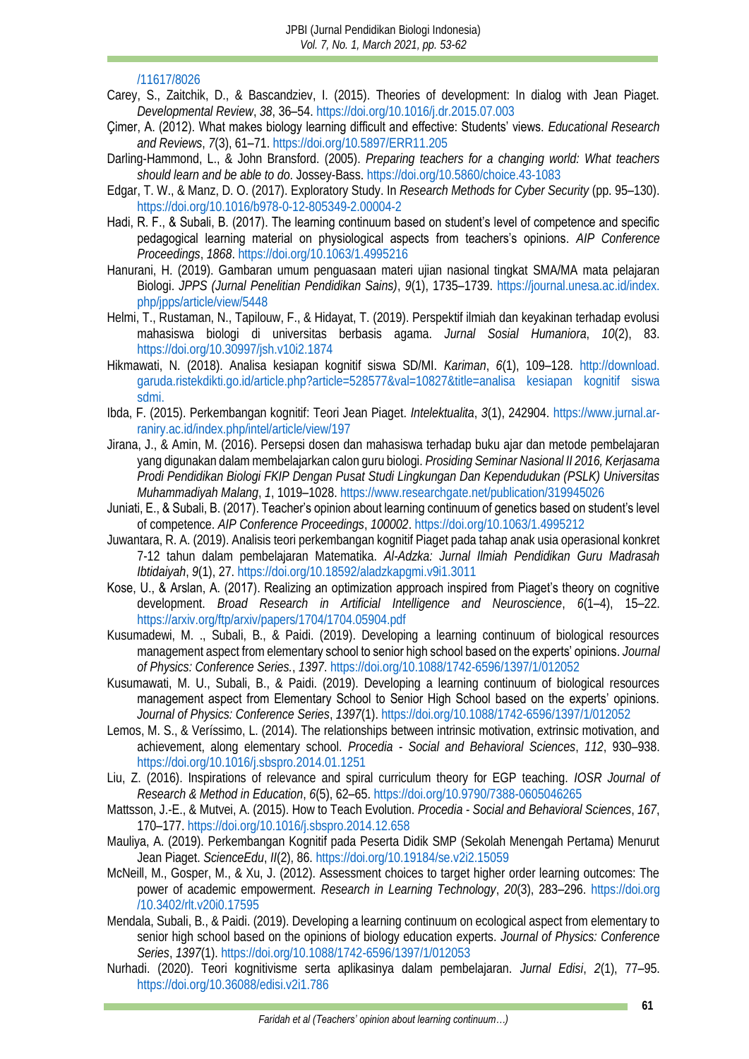### [/11617/8026](https://publikasiilmiah.ums.ac.id/handle/11617/8026)

- <span id="page-8-20"></span>Carey, S., Zaitchik, D., & Bascandziev, I. (2015). Theories of development: In dialog with Jean Piaget. *Developmental Review*, *38*, 36–54[. https://doi.org/10.1016/j.dr.2015.07.003](https://doi.org/10.1016/j.dr.2015.07.003)
- <span id="page-8-18"></span>Çimer, A. (2012). What makes biology learning difficult and effective: Students' views. *Educational Research and Reviews*, *7*(3), 61–71.<https://doi.org/10.5897/ERR11.205>
- Darling-Hammond, L., & John Bransford. (2005). *Preparing teachers for a changing world: What teachers should learn and be able to do*. Jossey-Bass[. https://doi.org/10.5860/choice.43-1083](https://doi.org/10.5860/choice.43-1083)
- <span id="page-8-11"></span>Edgar, T. W., & Manz, D. O. (2017). Exploratory Study. In *Research Methods for Cyber Security* (pp. 95–130). <https://doi.org/10.1016/b978-0-12-805349-2.00004-2>
- <span id="page-8-8"></span>Hadi, R. F., & Subali, B. (2017). The learning continuum based on student's level of competence and specific pedagogical learning material on physiological aspects from teachers's opinions. *AIP Conference Proceedings*, *1868*.<https://doi.org/10.1063/1.4995216>
- <span id="page-8-14"></span>Hanurani, H. (2019). Gambaran umum penguasaan materi ujian nasional tingkat SMA/MA mata pelajaran Biologi. *JPPS (Jurnal Penelitian Pendidikan Sains)*, *9*(1), 1735–1739. [https://journal.unesa.ac.id/index.](https://journal.unesa.ac.id/index.php/jpps/article/view/5448)  [php/jpps/article/view/5448](https://journal.unesa.ac.id/index.php/jpps/article/view/5448)
- <span id="page-8-7"></span>Helmi, T., Rustaman, N., Tapilouw, F., & Hidayat, T. (2019). Perspektif ilmiah dan keyakinan terhadap evolusi mahasiswa biologi di universitas berbasis agama. *Jurnal Sosial Humaniora*, *10*(2), 83. <https://doi.org/10.30997/jsh.v10i2.1874>
- <span id="page-8-15"></span>Hikmawati, N. (2018). Analisa kesiapan kognitif siswa SD/MI. *Kariman*, *6*(1), 109–128. [http://download.](http://download.garuda.ristekdikti.go.id/article.php?article=528577&val=10827&title=analisa%20kesiapan%20kognitif%20siswa%20sdmi.) [garuda.ristekdikti.go.id/article.php?article=528577&val=10827&title=analisa kesiapan kognitif siswa](http://download.garuda.ristekdikti.go.id/article.php?article=528577&val=10827&title=analisa%20kesiapan%20kognitif%20siswa%20sdmi.)  [sdmi.](http://download.garuda.ristekdikti.go.id/article.php?article=528577&val=10827&title=analisa%20kesiapan%20kognitif%20siswa%20sdmi.)
- <span id="page-8-5"></span>Ibda, F. (2015). Perkembangan kognitif: Teori Jean Piaget. *Intelektualita*, *3*(1), 242904. [https://www.jurnal.ar](https://www.jurnal.ar-raniry.ac.id/index.php/intel/article/view/197)[raniry.ac.id/index.php/intel/article/view/197](https://www.jurnal.ar-raniry.ac.id/index.php/intel/article/view/197)
- <span id="page-8-19"></span>Jirana, J., & Amin, M. (2016). Persepsi dosen dan mahasiswa terhadap buku ajar dan metode pembelajaran yang digunakan dalam membelajarkan calon guru biologi. *Prosiding Seminar Nasional II 2016, Kerjasama Prodi Pendidikan Biologi FKIP Dengan Pusat Studi Lingkungan Dan Kependudukan (PSLK) Universitas Muhammadiyah Malang*, *1*, 1019–1028[. https://www.researchgate.net/publication/319945026](https://www.researchgate.net/publication/319945026)
- <span id="page-8-1"></span>Juniati, E., & Subali, B. (2017). Teacher's opinion about learning continuum of genetics based on student's level of competence. *AIP Conference Proceedings*, *100002*[. https://doi.org/10.1063/1.4995212](https://doi.org/10.1063/1.4995212)
- <span id="page-8-16"></span>Juwantara, R. A. (2019). Analisis teori perkembangan kognitif Piaget pada tahap anak usia operasional konkret 7-12 tahun dalam pembelajaran Matematika. *Al-Adzka: Jurnal Ilmiah Pendidikan Guru Madrasah Ibtidaiyah*, *9*(1), 27.<https://doi.org/10.18592/aladzkapgmi.v9i1.3011>
- <span id="page-8-4"></span>Kose, U., & Arslan, A. (2017). Realizing an optimization approach inspired from Piaget's theory on cognitive development. *Broad Research in Artificial Intelligence and Neuroscience*, *6*(1–4), 15–22. <https://arxiv.org/ftp/arxiv/papers/1704/1704.05904.pdf>
- <span id="page-8-2"></span>Kusumadewi, M. ., Subali, B., & Paidi. (2019). Developing a learning continuum of biological resources management aspect from elementary school to senior high school based on the experts' opinions. *Journal of Physics: Conference Series.*, *1397*[. https://doi.org/10.1088/1742-6596/1397/1/012052](https://doi.org/10.1088/1742-6596/1397/1/012052)
- <span id="page-8-10"></span>Kusumawati, M. U., Subali, B., & Paidi. (2019). Developing a learning continuum of biological resources management aspect from Elementary School to Senior High School based on the experts' opinions. *Journal of Physics: Conference Series*, *1397*(1).<https://doi.org/10.1088/1742-6596/1397/1/012052>
- <span id="page-8-3"></span>Lemos, M. S., & Veríssimo, L. (2014). The relationships between intrinsic motivation, extrinsic motivation, and achievement, along elementary school. *Procedia - Social and Behavioral Sciences*, *112*, 930–938. [https://doi.org/10.1016/j.sbspro.2014.01.1251](https://doi.org/10.1016/J.SBSPRO.2014.01.1251)
- <span id="page-8-13"></span>Liu, Z. (2016). Inspirations of relevance and spiral curriculum theory for EGP teaching. *IOSR Journal of Research & Method in Education*, *6*(5), 62–65.<https://doi.org/10.9790/7388-0605046265>
- <span id="page-8-12"></span>Mattsson, J.-E., & Mutvei, A. (2015). How to Teach Evolution. *Procedia - Social and Behavioral Sciences*, *167*, 170–177.<https://doi.org/10.1016/j.sbspro.2014.12.658>
- <span id="page-8-17"></span>Mauliya, A. (2019). Perkembangan Kognitif pada Peserta Didik SMP (Sekolah Menengah Pertama) Menurut Jean Piaget. *ScienceEdu*, *II*(2), 86.<https://doi.org/10.19184/se.v2i2.15059>
- <span id="page-8-0"></span>McNeill, M., Gosper, M., & Xu, J. (2012). Assessment choices to target higher order learning outcomes: The power of academic empowerment. *Research in Learning Technology*, *20*(3), 283–296. [https://doi.org](https://doi.org/10.3402/rlt.v20i0.17595) [/10.3402/rlt.v20i0.17595](https://doi.org/10.3402/rlt.v20i0.17595)
- <span id="page-8-9"></span>Mendala, Subali, B., & Paidi. (2019). Developing a learning continuum on ecological aspect from elementary to senior high school based on the opinions of biology education experts. *Journal of Physics: Conference Series*, *1397*(1). <https://doi.org/10.1088/1742-6596/1397/1/012053>
- <span id="page-8-6"></span>Nurhadi. (2020). Teori kognitivisme serta aplikasinya dalam pembelajaran. *Jurnal Edisi*, *2*(1), 77–95. <https://doi.org/10.36088/edisi.v2i1.786>